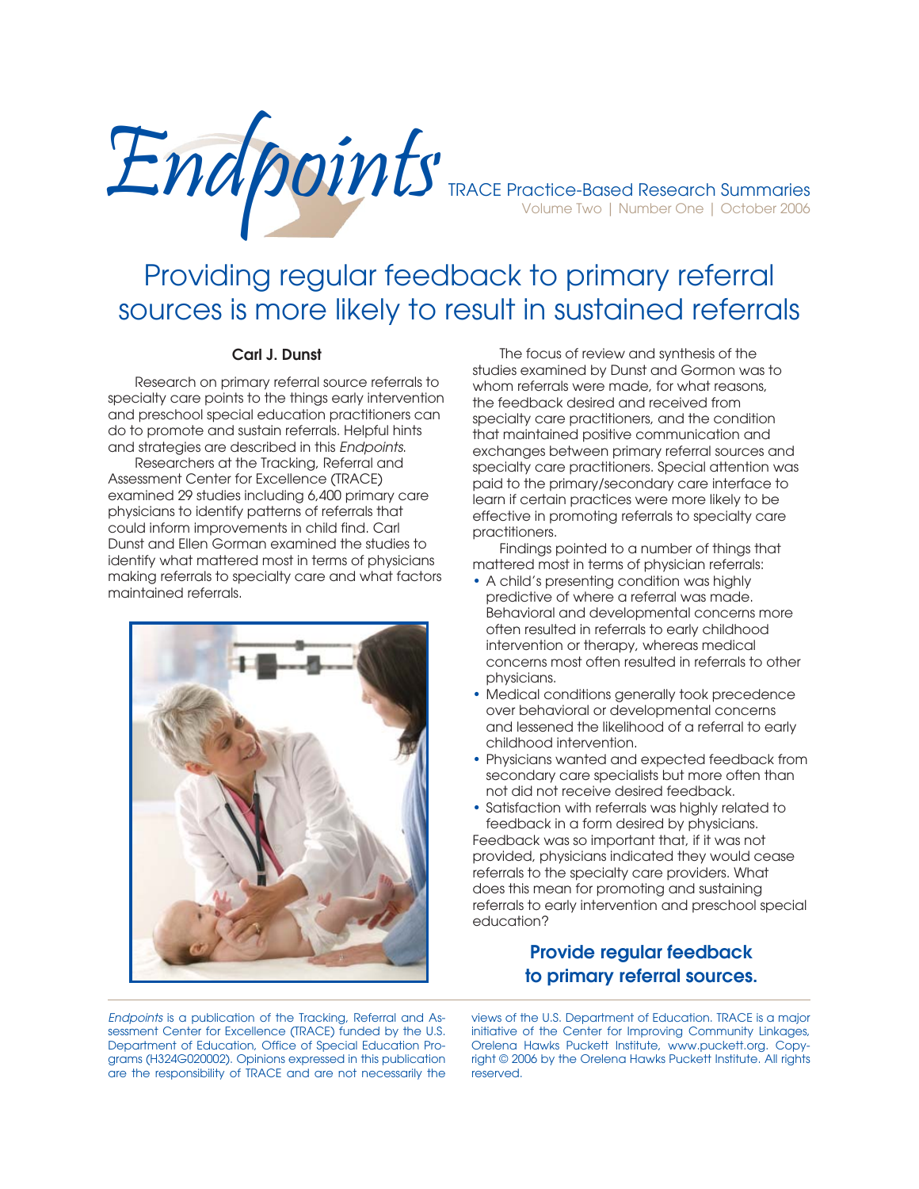

# Providing regular feedback to primary referral sources is more likely to result in sustained referrals

#### **Carl J. Dunst**

Research on primary referral source referrals to specialty care points to the things early intervention and preschool special education practitioners can do to promote and sustain referrals. Helpful hints and strategies are described in this *Endpoints*.

 Researchers at the Tracking, Referral and Assessment Center for Excellence (TRACE) examined 29 studies including 6,400 primary care physicians to identify patterns of referrals that could inform improvements in child find. Carl Dunst and Ellen Gorman examined the studies to identify what mattered most in terms of physicians making referrals to specialty care and what factors maintained referrals.



 The focus of review and synthesis of the studies examined by Dunst and Gormon was to whom referrals were made, for what reasons, the feedback desired and received from specialty care practitioners, and the condition that maintained positive communication and exchanges between primary referral sources and specialty care practitioners. Special attention was paid to the primary/secondary care interface to learn if certain practices were more likely to be effective in promoting referrals to specialty care practitioners.

 Findings pointed to a number of things that mattered most in terms of physician referrals:

- A child's presenting condition was highly predictive of where a referral was made. Behavioral and developmental concerns more often resulted in referrals to early childhood intervention or therapy, whereas medical concerns most often resulted in referrals to other physicians.
- Medical conditions generally took precedence over behavioral or developmental concerns and lessened the likelihood of a referral to early childhood intervention.
- Physicians wanted and expected feedback from secondary care specialists but more often than not did not receive desired feedback.
- Satisfaction with referrals was highly related to feedback in a form desired by physicians.

Feedback was so important that, if it was not provided, physicians indicated they would cease referrals to the specialty care providers. What does this mean for promoting and sustaining referrals to early intervention and preschool special education?

### **Provide regular feedback to primary referral sources.**

*Endpoints* is a publication of the Tracking, Referral and Assessment Center for Excellence (TRACE) funded by the U.S. Department of Education, Office of Special Education Programs (H324G020002). Opinions expressed in this publication are the responsibility of TRACE and are not necessarily the

views of the U.S. Department of Education. TRACE is a major initiative of the Center for Improving Community Linkages, Orelena Hawks Puckett Institute, www.puckett.org. Copyright © 2006 by the Orelena Hawks Puckett Institute. All rights reserved.